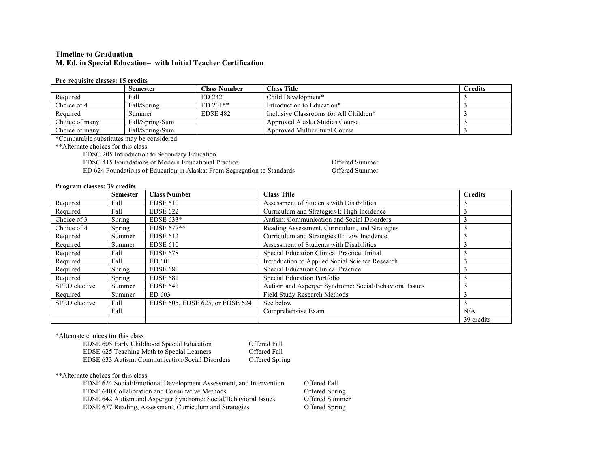## **Timeline to Graduation M. Ed. in Special Education– with Initial Teacher Certification**

#### **Pre-requisite classes: 15 credits**

|                | <b>Semester</b> | Class Number    | <b>Class Title</b>                     | <b>Credits</b> |
|----------------|-----------------|-----------------|----------------------------------------|----------------|
| Required       | Fall            | ED 242          | Child Development*                     |                |
| Choice of 4    | Fall/Spring     | $ED 201**$      | Introduction to Education*             |                |
| Required       | Summer          | <b>EDSE 482</b> | Inclusive Classrooms for All Children* |                |
| Choice of many | Fall/Spring/Sum |                 | Approved Alaska Studies Course         |                |
| Choice of many | Fall/Spring/Sum |                 | Approved Multicultural Course          |                |

\*Comparable substitutes may be considered

\*\*Alternate choices for this class

EDSC 205 Introduction to Secondary Education

EDSC 415 Foundations of Modern Educational Practice **CED** 624 Foundations of Education in Alaska: From Segregation to Standards Offered Summer

ED 624 Foundations of Education in Alaska: From Segregation to Standards

### **Program classes: 39 credits**

|               | <b>Semester</b> | <b>Class Number</b>             | <b>Class Title</b>                                     | <b>Credits</b> |
|---------------|-----------------|---------------------------------|--------------------------------------------------------|----------------|
| Required      | Fall            | <b>EDSE 610</b>                 | Assessment of Students with Disabilities               |                |
| Required      | Fall            | <b>EDSE 622</b>                 | Curriculum and Strategies I: High Incidence            |                |
| Choice of 3   | Spring          | EDSE $633*$                     | Autism: Communication and Social Disorders             |                |
| Choice of 4   | Spring          | EDSE 677**                      | Reading Assessment, Curriculum, and Strategies         |                |
| Required      | Summer          | <b>EDSE 612</b>                 | Curriculum and Strategies II: Low Incidence            |                |
| Required      | Summer          | <b>EDSE 610</b>                 | Assessment of Students with Disabilities               |                |
| Required      | Fall            | <b>EDSE 678</b>                 | Special Education Clinical Practice: Initial           |                |
| Required      | Fall            | ED 601                          | Introduction to Applied Social Science Research        |                |
| Required      | Spring          | <b>EDSE 680</b>                 | Special Education Clinical Practice                    |                |
| Required      | Spring          | <b>EDSE 681</b>                 | Special Education Portfolio                            |                |
| SPED elective | Summer          | <b>EDSE 642</b>                 | Autism and Asperger Syndrome: Social/Behavioral Issues |                |
| Required      | Summer          | ED 603                          | Field Study Research Methods                           |                |
| SPED elective | Fall            | EDSE 605, EDSE 625, or EDSE 624 | See below                                              |                |
|               | Fall            |                                 | Comprehensive Exam                                     | N/A            |
|               |                 |                                 |                                                        | 39 credits     |

\*Alternate choices for this class

| EDSE 605 Early Childhood Special Education      | Offered Fall   |
|-------------------------------------------------|----------------|
| EDSE 625 Teaching Math to Special Learners      | Offered Fall   |
| EDSE 633 Autism: Communication/Social Disorders | Offered Spring |

\*\*Alternate choices for this class

EDSE 624 Social/Emotional Development Assessment, and Intervention Offered Fall<br>EDSE 640 Collaboration and Consultative Methods Offered Spring EDSE 640 Collaboration and Consultative Methods EDSE 642 Autism and Asperger Syndrome: Social/Behavioral Issues Offered Summer EDSE 677 Reading, Assessment, Curriculum and Strategies Offered Spring